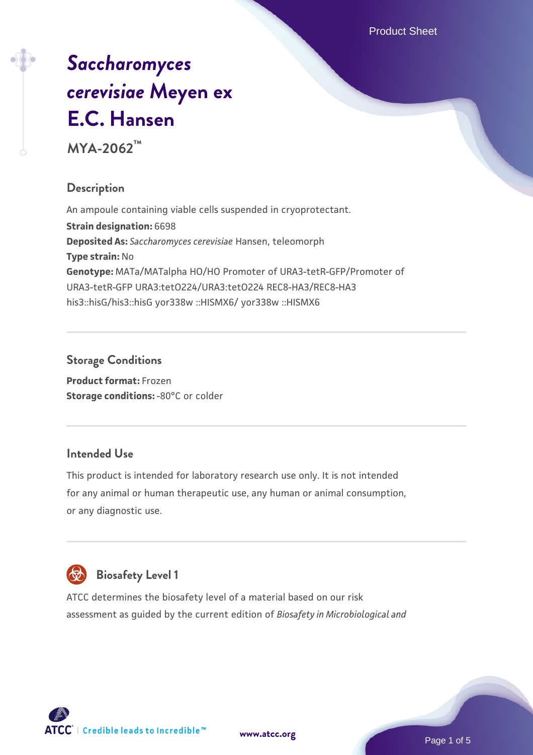Product Sheet

# *[Saccharomyces](https://www.atcc.org/products/mya-2062) [cerevisiae](https://www.atcc.org/products/mya-2062)* **[Meyen ex](https://www.atcc.org/products/mya-2062) [E.C. Hansen](https://www.atcc.org/products/mya-2062)**

**MYA-2062™**

# **Description**

An ampoule containing viable cells suspended in cryoprotectant. **Strain designation:** 6698 **Deposited As:** *Saccharomyces cerevisiae* Hansen, teleomorph **Type strain:** No **Genotype:** MATa/MATalpha HO/HO Promoter of URA3-tetR-GFP/Promoter of URA3-tetR-GFP URA3:tetO224/URA3:tetO224 REC8-HA3/REC8-HA3 his3::hisG/his3::hisG yor338w ::HISMX6/ yor338w ::HISMX6

# **Storage Conditions**

**Product format:** Frozen **Storage conditions: -80°C or colder** 

# **Intended Use**

This product is intended for laboratory research use only. It is not intended for any animal or human therapeutic use, any human or animal consumption, or any diagnostic use.



# **Biosafety Level 1**

ATCC determines the biosafety level of a material based on our risk assessment as guided by the current edition of *Biosafety in Microbiological and*

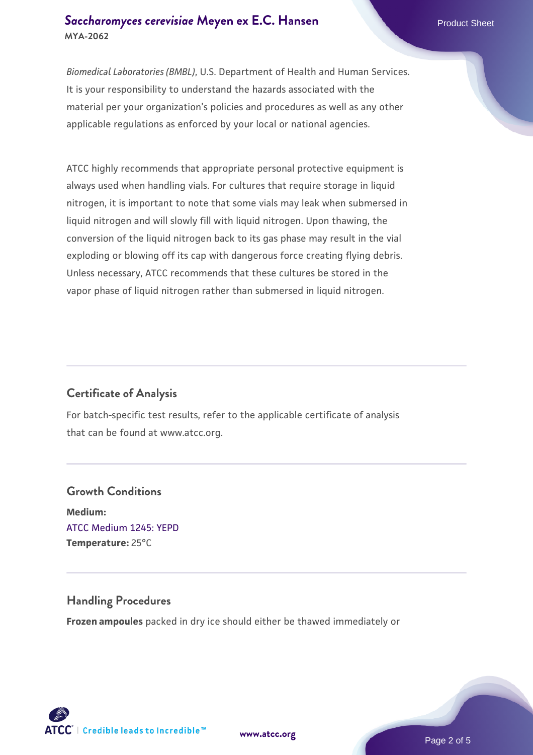#### **[Saccharomyces cerevisiae](https://www.atcc.org/products/mya-2062)** [Meyen ex E.C. Hansen](https://www.atcc.org/products/mya-2062) **MYA-2062**

*Biomedical Laboratories (BMBL)*, U.S. Department of Health and Human Services. It is your responsibility to understand the hazards associated with the material per your organization's policies and procedures as well as any other applicable regulations as enforced by your local or national agencies.

ATCC highly recommends that appropriate personal protective equipment is always used when handling vials. For cultures that require storage in liquid nitrogen, it is important to note that some vials may leak when submersed in liquid nitrogen and will slowly fill with liquid nitrogen. Upon thawing, the conversion of the liquid nitrogen back to its gas phase may result in the vial exploding or blowing off its cap with dangerous force creating flying debris. Unless necessary, ATCC recommends that these cultures be stored in the vapor phase of liquid nitrogen rather than submersed in liquid nitrogen.

# **Certificate of Analysis**

For batch-specific test results, refer to the applicable certificate of analysis that can be found at www.atcc.org.

# **Growth Conditions Medium:**  [ATCC Medium 1245: YEPD](https://www.atcc.org/-/media/product-assets/documents/microbial-media-formulations/1/2/4/5/atcc-medium-1245.pdf?rev=705ca55d1b6f490a808a965d5c072196) **Temperature:** 25°C

#### **Handling Procedures**

**Frozen ampoules** packed in dry ice should either be thawed immediately or



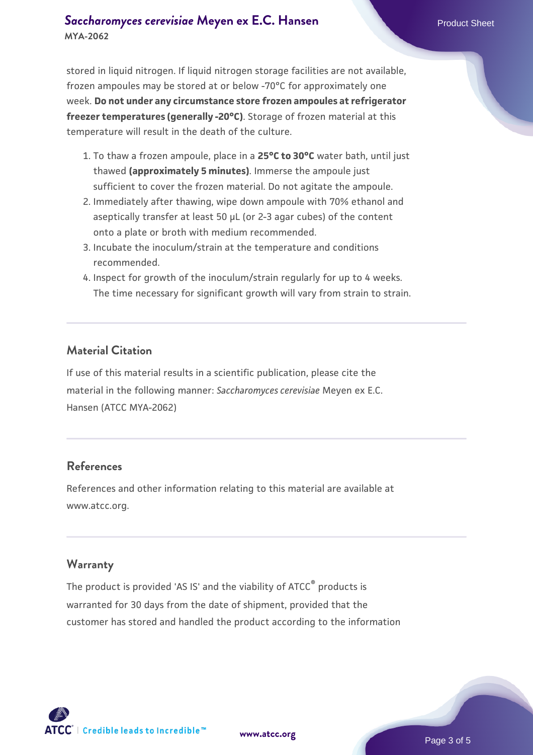#### **[Saccharomyces cerevisiae](https://www.atcc.org/products/mya-2062)** [Meyen ex E.C. Hansen](https://www.atcc.org/products/mya-2062) **MYA-2062**

stored in liquid nitrogen. If liquid nitrogen storage facilities are not available, frozen ampoules may be stored at or below -70°C for approximately one week. **Do not under any circumstance store frozen ampoules at refrigerator freezer temperatures (generally -20°C)**. Storage of frozen material at this temperature will result in the death of the culture.

- 1. To thaw a frozen ampoule, place in a **25°C to 30°C** water bath, until just thawed **(approximately 5 minutes)**. Immerse the ampoule just sufficient to cover the frozen material. Do not agitate the ampoule.
- 2. Immediately after thawing, wipe down ampoule with 70% ethanol and aseptically transfer at least 50 µL (or 2-3 agar cubes) of the content onto a plate or broth with medium recommended.
- 3. Incubate the inoculum/strain at the temperature and conditions recommended.
- 4. Inspect for growth of the inoculum/strain regularly for up to 4 weeks. The time necessary for significant growth will vary from strain to strain.

#### **Material Citation**

If use of this material results in a scientific publication, please cite the material in the following manner: *Saccharomyces cerevisiae* Meyen ex E.C. Hansen (ATCC MYA-2062)

#### **References**

References and other information relating to this material are available at www.atcc.org.

#### **Warranty**

The product is provided 'AS IS' and the viability of ATCC® products is warranted for 30 days from the date of shipment, provided that the customer has stored and handled the product according to the information

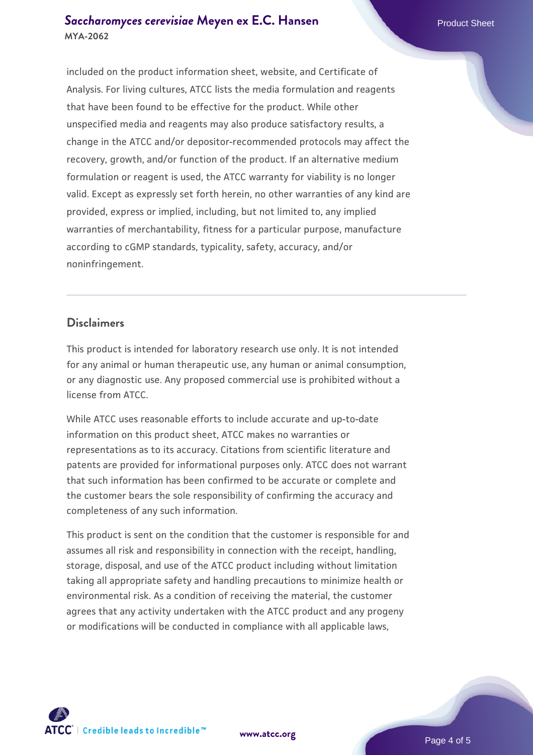#### **[Saccharomyces cerevisiae](https://www.atcc.org/products/mya-2062)** [Meyen ex E.C. Hansen](https://www.atcc.org/products/mya-2062) **MYA-2062**

included on the product information sheet, website, and Certificate of Analysis. For living cultures, ATCC lists the media formulation and reagents that have been found to be effective for the product. While other unspecified media and reagents may also produce satisfactory results, a change in the ATCC and/or depositor-recommended protocols may affect the recovery, growth, and/or function of the product. If an alternative medium formulation or reagent is used, the ATCC warranty for viability is no longer valid. Except as expressly set forth herein, no other warranties of any kind are provided, express or implied, including, but not limited to, any implied warranties of merchantability, fitness for a particular purpose, manufacture according to cGMP standards, typicality, safety, accuracy, and/or noninfringement.

#### **Disclaimers**

This product is intended for laboratory research use only. It is not intended for any animal or human therapeutic use, any human or animal consumption, or any diagnostic use. Any proposed commercial use is prohibited without a license from ATCC.

While ATCC uses reasonable efforts to include accurate and up-to-date information on this product sheet, ATCC makes no warranties or representations as to its accuracy. Citations from scientific literature and patents are provided for informational purposes only. ATCC does not warrant that such information has been confirmed to be accurate or complete and the customer bears the sole responsibility of confirming the accuracy and completeness of any such information.

This product is sent on the condition that the customer is responsible for and assumes all risk and responsibility in connection with the receipt, handling, storage, disposal, and use of the ATCC product including without limitation taking all appropriate safety and handling precautions to minimize health or environmental risk. As a condition of receiving the material, the customer agrees that any activity undertaken with the ATCC product and any progeny or modifications will be conducted in compliance with all applicable laws,



**[www.atcc.org](http://www.atcc.org)**

Page 4 of 5